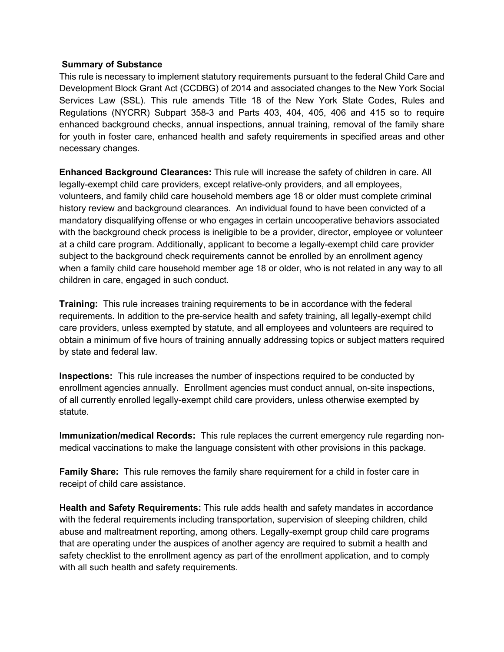## **Summary of Substance**

This rule is necessary to implement statutory requirements pursuant to the federal Child Care and Development Block Grant Act (CCDBG) of 2014 and associated changes to the New York Social Services Law (SSL). This rule amends Title 18 of the New York State Codes, Rules and Regulations (NYCRR) Subpart 358-3 and Parts 403, 404, 405, 406 and 415 so to require enhanced background checks, annual inspections, annual training, removal of the family share for youth in foster care, enhanced health and safety requirements in specified areas and other necessary changes.

**Enhanced Background Clearances:** This rule will increase the safety of children in care. All legally-exempt child care providers, except relative-only providers, and all employees, volunteers, and family child care household members age 18 or older must complete criminal history review and background clearances. An individual found to have been convicted of a mandatory disqualifying offense or who engages in certain uncooperative behaviors associated with the background check process is ineligible to be a provider, director, employee or volunteer at a child care program. Additionally, applicant to become a legally-exempt child care provider subject to the background check requirements cannot be enrolled by an enrollment agency when a family child care household member age 18 or older, who is not related in any way to all children in care, engaged in such conduct.

**Training:** This rule increases training requirements to be in accordance with the federal requirements. In addition to the pre-service health and safety training, all legally-exempt child care providers, unless exempted by statute, and all employees and volunteers are required to obtain a minimum of five hours of training annually addressing topics or subject matters required by state and federal law.

**Inspections:** This rule increases the number of inspections required to be conducted by enrollment agencies annually. Enrollment agencies must conduct annual, on-site inspections, of all currently enrolled legally-exempt child care providers, unless otherwise exempted by statute.

**Immunization/medical Records:** This rule replaces the current emergency rule regarding nonmedical vaccinations to make the language consistent with other provisions in this package.

**Family Share:** This rule removes the family share requirement for a child in foster care in receipt of child care assistance.

**Health and Safety Requirements:** This rule adds health and safety mandates in accordance with the federal requirements including transportation, supervision of sleeping children, child abuse and maltreatment reporting, among others. Legally-exempt group child care programs that are operating under the auspices of another agency are required to submit a health and safety checklist to the enrollment agency as part of the enrollment application, and to comply with all such health and safety requirements.